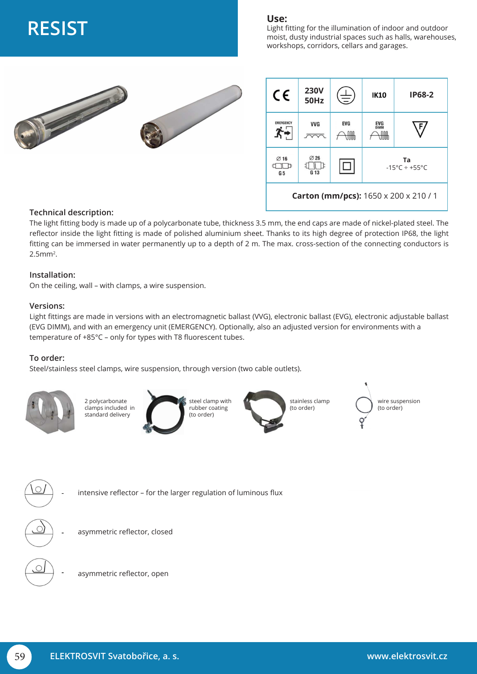# **RESIST Use:**

Light fitting for the illumination of indoor and outdoor moist, dusty industrial spaces such as halls, warehouses, workshops, corridors, cellars and garages.



| CE                                           | <b>230V</b><br><b>50Hz</b>          | 圭          | <b>IK10</b>                      | <b>IP68-2</b> |
|----------------------------------------------|-------------------------------------|------------|----------------------------------|---------------|
| <b>EMERGENCY</b>                             | <b>VVG</b>                          | <b>EVG</b> | <b>EVG</b><br><b>DIMM</b><br>nnn |               |
| $\varnothing$ 16<br>G <sub>5</sub>           | $\varnothing$ 26<br>G <sub>13</sub> | - 1        | Ta<br>$-15^{\circ}$ C ÷ +55°C    |               |
| <b>Carton (mm/pcs):</b> 1650 x 200 x 210 / 1 |                                     |            |                                  |               |

### **Technical description:**

The light fitting body is made up of a polycarbonate tube, thickness 3.5 mm, the end caps are made of nickel-plated steel. The reflector inside the light fitting is made of polished aluminium sheet. Thanks to its high degree of protection IP68, the light fitting can be immersed in water permanently up to a depth of 2 m. The max. cross-section of the connecting conductors is 2.5mm2.

#### **Installation:**

On the ceiling, wall – with clamps, a wire suspension.

#### **Versions:**

Light fittings are made in versions with an electromagnetic ballast (VVG), electronic ballast (EVG), electronic adjustable ballast (EVG DIMM), and with an emergency unit (EMERGENCY). Optionally, also an adjusted version for environments with a temperature of +85°C – only for types with T8 fluorescent tubes.

### **To order:**

Steel/stainless steel clamps, wire suspension, through version (two cable outlets).





- 
- asymmetric reflector, closed
- asymmetric reflector, open